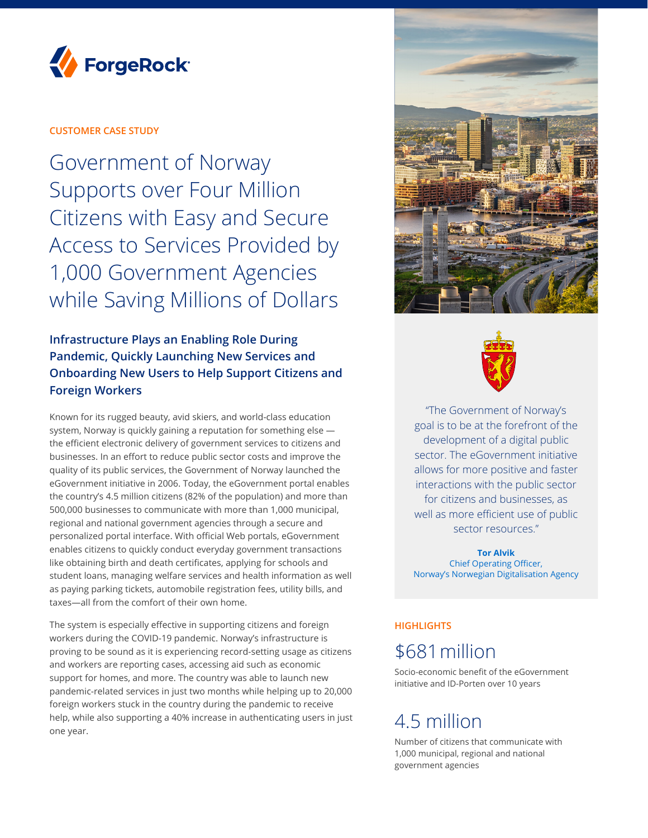

# **CUSTOMER CASE STUDY**

Government of Norway Supports over Four Million Citizens with Easy and Secure Access to Services Provided by 1,000 Government Agencies while Saving Millions of Dollars

# **Infrastructure Plays an Enabling Role During Pandemic, Quickly Launching New Services and Onboarding New Users to Help Support Citizens and Foreign Workers**

Known for its rugged beauty, avid skiers, and world-class education system, Norway is quickly gaining a reputation for something else the efficient electronic delivery of government services to citizens and businesses. In an effort to reduce public sector costs and improve the quality of its public services, the Government of Norway launched the eGovernment initiative in 2006. Today, the eGovernment portal enables the country's 4.5 million citizens (82% of the population) and more than 500,000 businesses to communicate with more than 1,000 municipal, regional and national government agencies through a secure and personalized portal interface. With official Web portals, eGovernment enables citizens to quickly conduct everyday government transactions like obtaining birth and death certificates, applying for schools and student loans, managing welfare services and health information as well as paying parking tickets, automobile registration fees, utility bills, and taxes—all from the comfort of their own home.

The system is especially effective in supporting citizens and foreign workers during the COVID-19 pandemic. Norway's infrastructure is proving to be sound as it is experiencing record-setting usage as citizens and workers are reporting cases, accessing aid such as economic support for homes, and more. The country was able to launch new pandemic-related services in just two months while helping up to 20,000 foreign workers stuck in the country during the pandemic to receive help, while also supporting a 40% increase in authenticating users in just one year.





"The Government of Norway's goal is to be at the forefront of the development of a digital public sector. The eGovernment initiative allows for more positive and faster interactions with the public sector for citizens and businesses, as well as more efficient use of public sector resources."

**Tor Alvik** Chief Operating Officer, Norway's Norwegian Digitalisation Agency

## **HIGHLIGHTS**

# \$681million

Socio-economic benefit of the eGovernment initiative and ID-Porten over 10 years

# 4.5 million

Number of citizens that communicate with 1,000 municipal, regional and national government agencies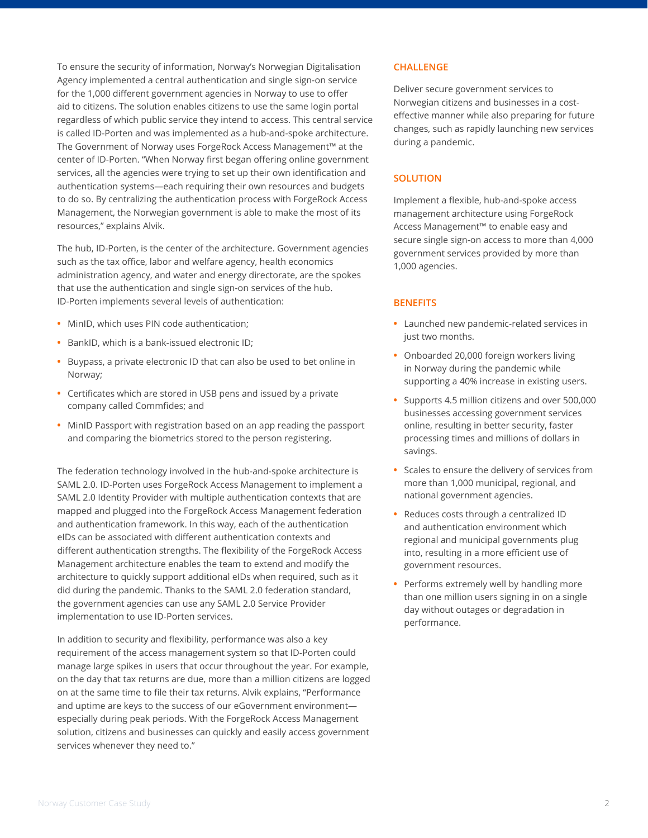To ensure the security of information, Norway's Norwegian Digitalisation Agency implemented a central authentication and single sign-on service for the 1,000 different government agencies in Norway to use to offer aid to citizens. The solution enables citizens to use the same login portal regardless of which public service they intend to access. This central service is called ID-Porten and was implemented as a hub-and-spoke architecture. The Government of Norway uses ForgeRock Access Management™ at the center of ID-Porten. "When Norway first began offering online government services, all the agencies were trying to set up their own identification and authentication systems—each requiring their own resources and budgets to do so. By centralizing the authentication process with ForgeRock Access Management, the Norwegian government is able to make the most of its resources," explains Alvik.

The hub, ID-Porten, is the center of the architecture. Government agencies such as the tax office, labor and welfare agency, health economics administration agency, and water and energy directorate, are the spokes that use the authentication and single sign-on services of the hub. ID-Porten implements several levels of authentication:

- **•** MinID, which uses PIN code authentication;
- **•** BankID, which is a bank-issued electronic ID;
- **•** Buypass, a private electronic ID that can also be used to bet online in Norway;
- **•** Certificates which are stored in USB pens and issued by a private company called Commfides; and
- **•** MinID Passport with registration based on an app reading the passport and comparing the biometrics stored to the person registering.

The federation technology involved in the hub-and-spoke architecture is SAML 2.0. ID-Porten uses ForgeRock Access Management to implement a SAML 2.0 Identity Provider with multiple authentication contexts that are mapped and plugged into the ForgeRock Access Management federation and authentication framework. In this way, each of the authentication eIDs can be associated with different authentication contexts and different authentication strengths. The flexibility of the ForgeRock Access Management architecture enables the team to extend and modify the architecture to quickly support additional eIDs when required, such as it did during the pandemic. Thanks to the SAML 2.0 federation standard, the government agencies can use any SAML 2.0 Service Provider implementation to use ID-Porten services.

In addition to security and flexibility, performance was also a key requirement of the access management system so that ID-Porten could manage large spikes in users that occur throughout the year. For example, on the day that tax returns are due, more than a million citizens are logged on at the same time to file their tax returns. Alvik explains, "Performance and uptime are keys to the success of our eGovernment environment especially during peak periods. With the ForgeRock Access Management solution, citizens and businesses can quickly and easily access government services whenever they need to."

#### **CHALLENGE**

Deliver secure government services to Norwegian citizens and businesses in a costeffective manner while also preparing for future changes, such as rapidly launching new services during a pandemic.

### **SOLUTION**

Implement a flexible, hub-and-spoke access management architecture using ForgeRock Access Management™ to enable easy and secure single sign-on access to more than 4,000 government services provided by more than 1,000 agencies.

#### **BENEFITS**

- **•** Launched new pandemic-related services in just two months.
- **•** Onboarded 20,000 foreign workers living in Norway during the pandemic while supporting a 40% increase in existing users.
- **•** Supports 4.5 million citizens and over 500,000 businesses accessing government services online, resulting in better security, faster processing times and millions of dollars in savings.
- **•** Scales to ensure the delivery of services from more than 1,000 municipal, regional, and national government agencies.
- **•** Reduces costs through a centralized ID and authentication environment which regional and municipal governments plug into, resulting in a more efficient use of government resources.
- **•** Performs extremely well by handling more than one million users signing in on a single day without outages or degradation in performance.